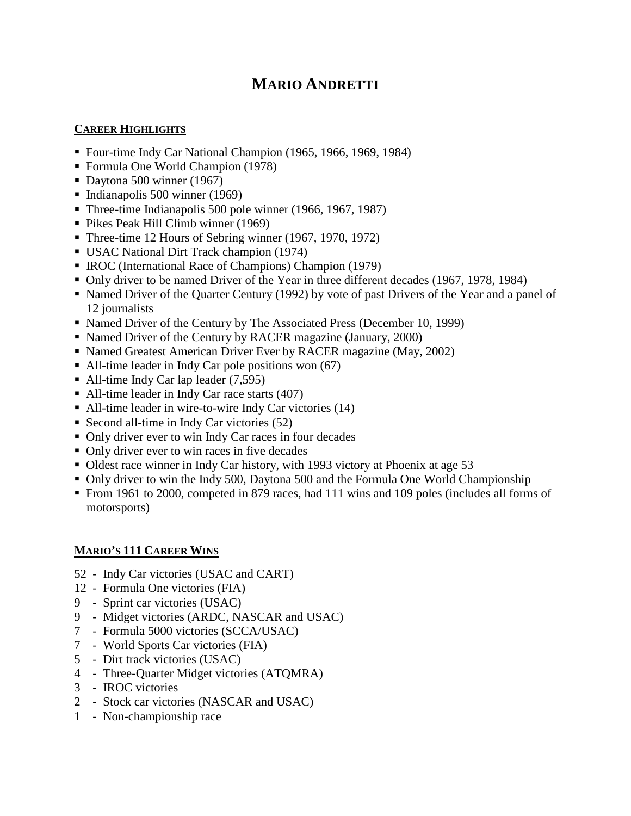# **MARIO ANDRETTI**

### **CAREER HIGHLIGHTS**

- Four-time Indy Car National Champion (1965, 1966, 1969, 1984)
- Formula One World Champion (1978)
- Daytona 500 winner (1967)
- Indianapolis 500 winner  $(1969)$
- Three-time Indianapolis 500 pole winner (1966, 1967, 1987)
- Pikes Peak Hill Climb winner (1969)
- Three-time 12 Hours of Sebring winner (1967, 1970, 1972)
- USAC National Dirt Track champion (1974)
- IROC (International Race of Champions) Champion (1979)
- Only driver to be named Driver of the Year in three different decades (1967, 1978, 1984)
- Named Driver of the Quarter Century (1992) by vote of past Drivers of the Year and a panel of 12 journalists
- Named Driver of the Century by The Associated Press (December 10, 1999)
- Named Driver of the Century by RACER magazine (January, 2000)
- Named Greatest American Driver Ever by RACER magazine (May, 2002)
- All-time leader in Indy Car pole positions won (67)
- All-time Indy Car lap leader  $(7,595)$
- All-time leader in Indy Car race starts (407)
- All-time leader in wire-to-wire Indy Car victories (14)
- Second all-time in Indy Car victories  $(52)$
- Only driver ever to win Indy Car races in four decades
- Only driver ever to win races in five decades
- Oldest race winner in Indy Car history, with 1993 victory at Phoenix at age 53
- Only driver to win the Indy 500, Daytona 500 and the Formula One World Championship
- From 1961 to 2000, competed in 879 races, had 111 wins and 109 poles (includes all forms of motorsports)

# **MARIO'S 111 CAREER WINS**

- 52 Indy Car victories (USAC and CART)
- 12 Formula One victories (FIA)
- 9 Sprint car victories (USAC)
- 9 Midget victories (ARDC, NASCAR and USAC)
- 7 Formula 5000 victories (SCCA/USAC)
- 7 World Sports Car victories (FIA)
- 5 Dirt track victories (USAC)
- 4 Three-Quarter Midget victories (ATQMRA)
- 3 IROC victories
- 2 Stock car victories (NASCAR and USAC)
- 1 Non-championship race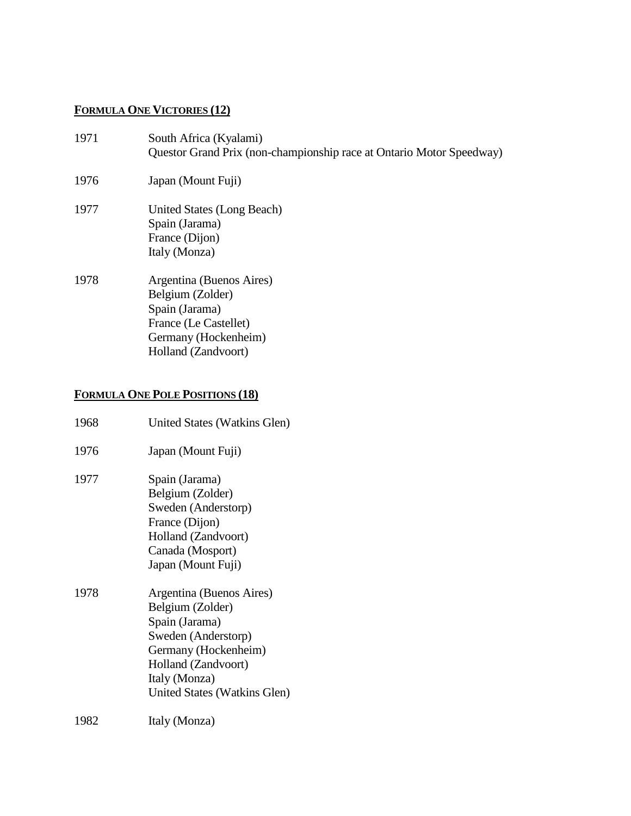# **FORMULA ONE VICTORIES (12)**

| 1971 | South Africa (Kyalami)<br>Questor Grand Prix (non-championship race at Ontario Motor Speedway)                                         |
|------|----------------------------------------------------------------------------------------------------------------------------------------|
| 1976 | Japan (Mount Fuji)                                                                                                                     |
| 1977 | United States (Long Beach)<br>Spain (Jarama)<br>France (Dijon)<br>Italy (Monza)                                                        |
| 1978 | Argentina (Buenos Aires)<br>Belgium (Zolder)<br>Spain (Jarama)<br>France (Le Castellet)<br>Germany (Hockenheim)<br>Holland (Zandvoort) |

# **FORMULA ONE POLE POSITIONS (18)**

| 1968 | United States (Watkins Glen)                                                                                                                                                          |  |  |  |
|------|---------------------------------------------------------------------------------------------------------------------------------------------------------------------------------------|--|--|--|
| 1976 | Japan (Mount Fuji)                                                                                                                                                                    |  |  |  |
| 1977 | Spain (Jarama)<br>Belgium (Zolder)<br>Sweden (Anderstorp)<br>France (Dijon)<br>Holland (Zandvoort)<br>Canada (Mosport)<br>Japan (Mount Fuji)                                          |  |  |  |
| 1978 | Argentina (Buenos Aires)<br>Belgium (Zolder)<br>Spain (Jarama)<br>Sweden (Anderstorp)<br>Germany (Hockenheim)<br>Holland (Zandvoort)<br>Italy (Monza)<br>United States (Watkins Glen) |  |  |  |
| 1982 | Italy (Monza)                                                                                                                                                                         |  |  |  |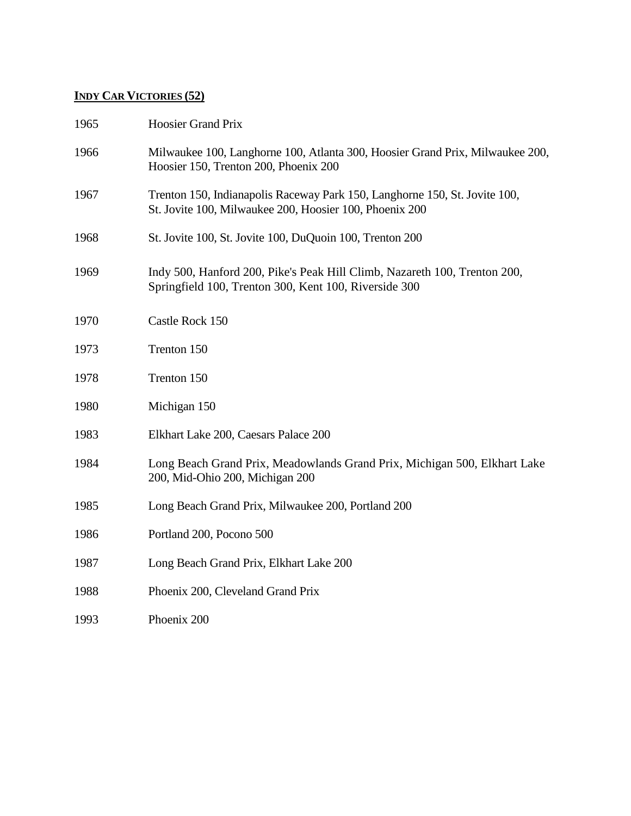# **INDY CAR VICTORIES (52)**

| 1965 | <b>Hoosier Grand Prix</b>                                                                                                             |
|------|---------------------------------------------------------------------------------------------------------------------------------------|
| 1966 | Milwaukee 100, Langhorne 100, Atlanta 300, Hoosier Grand Prix, Milwaukee 200,<br>Hoosier 150, Trenton 200, Phoenix 200                |
| 1967 | Trenton 150, Indianapolis Raceway Park 150, Langhorne 150, St. Jovite 100,<br>St. Jovite 100, Milwaukee 200, Hoosier 100, Phoenix 200 |
| 1968 | St. Jovite 100, St. Jovite 100, DuQuoin 100, Trenton 200                                                                              |
| 1969 | Indy 500, Hanford 200, Pike's Peak Hill Climb, Nazareth 100, Trenton 200,<br>Springfield 100, Trenton 300, Kent 100, Riverside 300    |
| 1970 | Castle Rock 150                                                                                                                       |
| 1973 | Trenton 150                                                                                                                           |
| 1978 | Trenton 150                                                                                                                           |
| 1980 | Michigan 150                                                                                                                          |
| 1983 | Elkhart Lake 200, Caesars Palace 200                                                                                                  |
| 1984 | Long Beach Grand Prix, Meadowlands Grand Prix, Michigan 500, Elkhart Lake<br>200, Mid-Ohio 200, Michigan 200                          |
| 1985 | Long Beach Grand Prix, Milwaukee 200, Portland 200                                                                                    |
| 1986 | Portland 200, Pocono 500                                                                                                              |
| 1987 | Long Beach Grand Prix, Elkhart Lake 200                                                                                               |
| 1988 | Phoenix 200, Cleveland Grand Prix                                                                                                     |
| 1993 | Phoenix 200                                                                                                                           |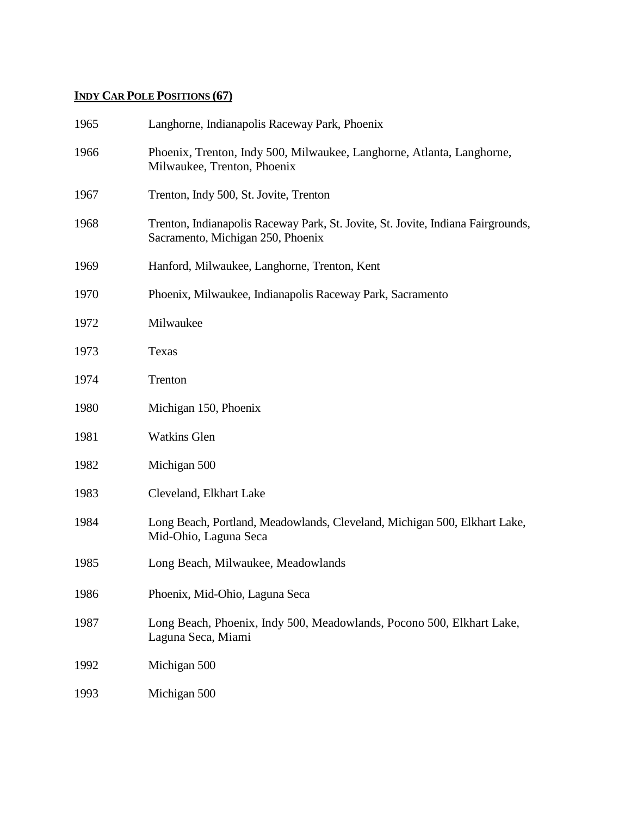### **INDY CAR POLE POSITIONS (67)**

| 1965 | Langhorne, Indianapolis Raceway Park, Phoenix                                                                         |  |  |  |
|------|-----------------------------------------------------------------------------------------------------------------------|--|--|--|
| 1966 | Phoenix, Trenton, Indy 500, Milwaukee, Langhorne, Atlanta, Langhorne,<br>Milwaukee, Trenton, Phoenix                  |  |  |  |
| 1967 | Trenton, Indy 500, St. Jovite, Trenton                                                                                |  |  |  |
| 1968 | Trenton, Indianapolis Raceway Park, St. Jovite, St. Jovite, Indiana Fairgrounds,<br>Sacramento, Michigan 250, Phoenix |  |  |  |
| 1969 | Hanford, Milwaukee, Langhorne, Trenton, Kent                                                                          |  |  |  |
| 1970 | Phoenix, Milwaukee, Indianapolis Raceway Park, Sacramento                                                             |  |  |  |
| 1972 | Milwaukee                                                                                                             |  |  |  |
| 1973 | Texas                                                                                                                 |  |  |  |
| 1974 | Trenton                                                                                                               |  |  |  |
| 1980 | Michigan 150, Phoenix                                                                                                 |  |  |  |
| 1981 | <b>Watkins Glen</b>                                                                                                   |  |  |  |
| 1982 | Michigan 500                                                                                                          |  |  |  |
| 1983 | Cleveland, Elkhart Lake                                                                                               |  |  |  |
| 1984 | Long Beach, Portland, Meadowlands, Cleveland, Michigan 500, Elkhart Lake,<br>Mid-Ohio, Laguna Seca                    |  |  |  |
| 1985 | Long Beach, Milwaukee, Meadowlands                                                                                    |  |  |  |
| 1986 | Phoenix, Mid-Ohio, Laguna Seca                                                                                        |  |  |  |
| 1987 | Long Beach, Phoenix, Indy 500, Meadowlands, Pocono 500, Elkhart Lake,<br>Laguna Seca, Miami                           |  |  |  |
| 1992 | Michigan 500                                                                                                          |  |  |  |
| 1993 | Michigan 500                                                                                                          |  |  |  |